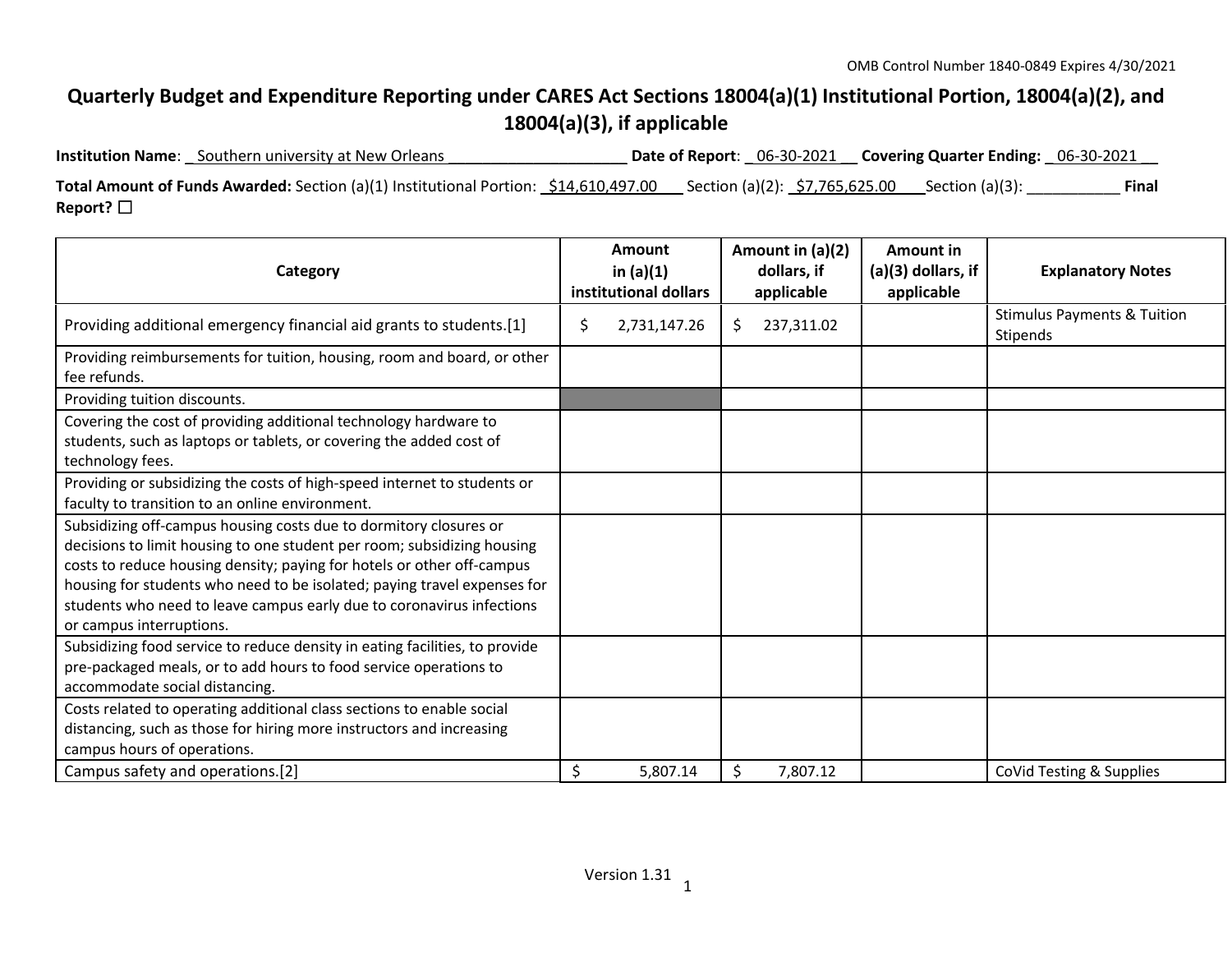## **Quarterly Budget and Expenditure Reporting under CARES Act Sections 18004(a)(1) Institutional Portion, 18004(a)(2), and 18004(a)(3), if applicable**

| <b>Institution Name:</b> Southern university at New Orleans                          |                                  | Date of Report: 06-30-2021 Covering Quarter Ending: 06-30-2021 |       |
|--------------------------------------------------------------------------------------|----------------------------------|----------------------------------------------------------------|-------|
| Total Amount of Funds Awarded: Section (a)(1) Institutional Portion: \$14,610,497.00 | _Section (a)(2): _\$7,765,625.00 | Section (a)(3):                                                | Final |
| Report? $\Box$                                                                       |                                  |                                                                |       |

| Category                                                                                                                                                                                                                                                                                                                                                                                                | <b>Amount</b><br>in $(a)(1)$<br>institutional dollars | Amount in (a)(2)<br>dollars, if<br>applicable | <b>Amount in</b><br>(a)(3) dollars, if<br>applicable | <b>Explanatory Notes</b>                           |
|---------------------------------------------------------------------------------------------------------------------------------------------------------------------------------------------------------------------------------------------------------------------------------------------------------------------------------------------------------------------------------------------------------|-------------------------------------------------------|-----------------------------------------------|------------------------------------------------------|----------------------------------------------------|
| Providing additional emergency financial aid grants to students.[1]                                                                                                                                                                                                                                                                                                                                     | \$<br>2,731,147.26                                    | 237,311.02<br>\$.                             |                                                      | <b>Stimulus Payments &amp; Tuition</b><br>Stipends |
| Providing reimbursements for tuition, housing, room and board, or other<br>fee refunds.                                                                                                                                                                                                                                                                                                                 |                                                       |                                               |                                                      |                                                    |
| Providing tuition discounts.                                                                                                                                                                                                                                                                                                                                                                            |                                                       |                                               |                                                      |                                                    |
| Covering the cost of providing additional technology hardware to<br>students, such as laptops or tablets, or covering the added cost of<br>technology fees.                                                                                                                                                                                                                                             |                                                       |                                               |                                                      |                                                    |
| Providing or subsidizing the costs of high-speed internet to students or<br>faculty to transition to an online environment.                                                                                                                                                                                                                                                                             |                                                       |                                               |                                                      |                                                    |
| Subsidizing off-campus housing costs due to dormitory closures or<br>decisions to limit housing to one student per room; subsidizing housing<br>costs to reduce housing density; paying for hotels or other off-campus<br>housing for students who need to be isolated; paying travel expenses for<br>students who need to leave campus early due to coronavirus infections<br>or campus interruptions. |                                                       |                                               |                                                      |                                                    |
| Subsidizing food service to reduce density in eating facilities, to provide<br>pre-packaged meals, or to add hours to food service operations to<br>accommodate social distancing.                                                                                                                                                                                                                      |                                                       |                                               |                                                      |                                                    |
| Costs related to operating additional class sections to enable social<br>distancing, such as those for hiring more instructors and increasing<br>campus hours of operations.                                                                                                                                                                                                                            |                                                       |                                               |                                                      |                                                    |
| Campus safety and operations.[2]                                                                                                                                                                                                                                                                                                                                                                        | \$<br>5,807.14                                        | \$<br>7,807.12                                |                                                      | CoVid Testing & Supplies                           |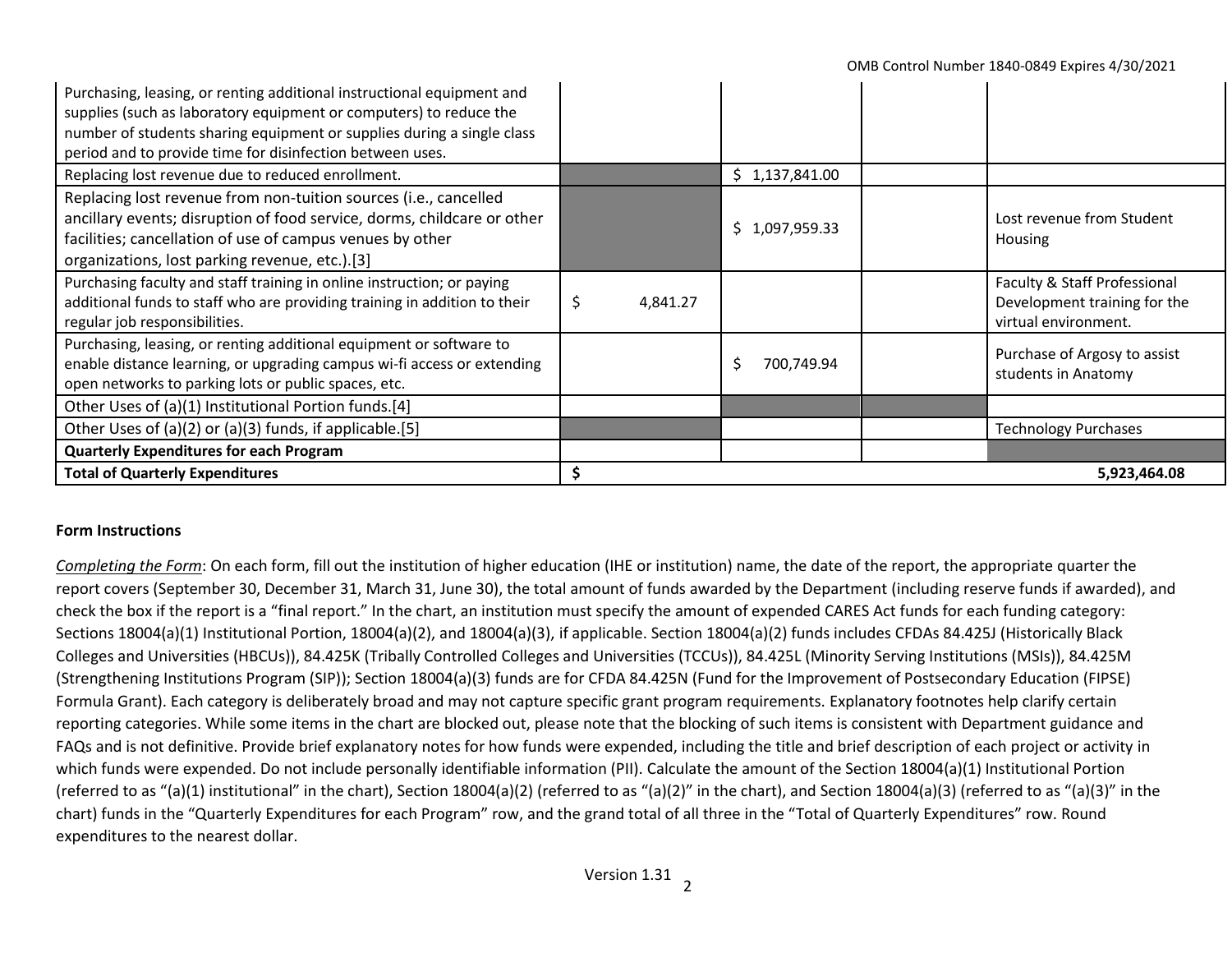| Purchasing, leasing, or renting additional instructional equipment and<br>supplies (such as laboratory equipment or computers) to reduce the<br>number of students sharing equipment or supplies during a single class<br>period and to provide time for disinfection between uses. |                |                |  |                                                                                      |
|-------------------------------------------------------------------------------------------------------------------------------------------------------------------------------------------------------------------------------------------------------------------------------------|----------------|----------------|--|--------------------------------------------------------------------------------------|
| Replacing lost revenue due to reduced enrollment.                                                                                                                                                                                                                                   |                | \$1,137,841.00 |  |                                                                                      |
| Replacing lost revenue from non-tuition sources (i.e., cancelled<br>ancillary events; disruption of food service, dorms, childcare or other<br>facilities; cancellation of use of campus venues by other<br>organizations, lost parking revenue, etc.).[3]                          |                | \$1,097,959.33 |  | Lost revenue from Student<br><b>Housing</b>                                          |
| Purchasing faculty and staff training in online instruction; or paying<br>additional funds to staff who are providing training in addition to their<br>regular job responsibilities.                                                                                                | \$<br>4,841.27 |                |  | Faculty & Staff Professional<br>Development training for the<br>virtual environment. |
| Purchasing, leasing, or renting additional equipment or software to<br>enable distance learning, or upgrading campus wi-fi access or extending<br>open networks to parking lots or public spaces, etc.                                                                              |                | 700,749.94     |  | Purchase of Argosy to assist<br>students in Anatomy                                  |
| Other Uses of (a)(1) Institutional Portion funds.[4]                                                                                                                                                                                                                                |                |                |  |                                                                                      |
| Other Uses of (a)(2) or (a)(3) funds, if applicable.[5]                                                                                                                                                                                                                             |                |                |  | <b>Technology Purchases</b>                                                          |
| <b>Quarterly Expenditures for each Program</b>                                                                                                                                                                                                                                      |                |                |  |                                                                                      |
| <b>Total of Quarterly Expenditures</b>                                                                                                                                                                                                                                              | 5,923,464.08   |                |  |                                                                                      |

## **Form Instructions**

*Completing the Form*: On each form, fill out the institution of higher education (IHE or institution) name, the date of the report, the appropriate quarter the report covers (September 30, December 31, March 31, June 30), the total amount of funds awarded by the Department (including reserve funds if awarded), and check the box if the report is a "final report." In the chart, an institution must specify the amount of expended CARES Act funds for each funding category: Sections 18004(a)(1) Institutional Portion, 18004(a)(2), and 18004(a)(3), if applicable. Section 18004(a)(2) funds includes CFDAs 84.425J (Historically Black Colleges and Universities (HBCUs)), 84.425K (Tribally Controlled Colleges and Universities (TCCUs)), 84.425L (Minority Serving Institutions (MSIs)), 84.425M (Strengthening Institutions Program (SIP)); Section 18004(a)(3) funds are for CFDA 84.425N (Fund for the Improvement of Postsecondary Education (FIPSE) Formula Grant). Each category is deliberately broad and may not capture specific grant program requirements. Explanatory footnotes help clarify certain reporting categories. While some items in the chart are blocked out, please note that the blocking of such items is consistent with Department guidance and FAQs and is not definitive. Provide brief explanatory notes for how funds were expended, including the title and brief description of each project or activity in which funds were expended. Do not include personally identifiable information (PII). Calculate the amount of the Section 18004(a)(1) Institutional Portion (referred to as "(a)(1) institutional" in the chart), Section 18004(a)(2) (referred to as "(a)(2)" in the chart), and Section 18004(a)(3) (referred to as "(a)(3)" in the chart) funds in the "Quarterly Expenditures for each Program" row, and the grand total of all three in the "Total of Quarterly Expenditures" row. Round expenditures to the nearest dollar.